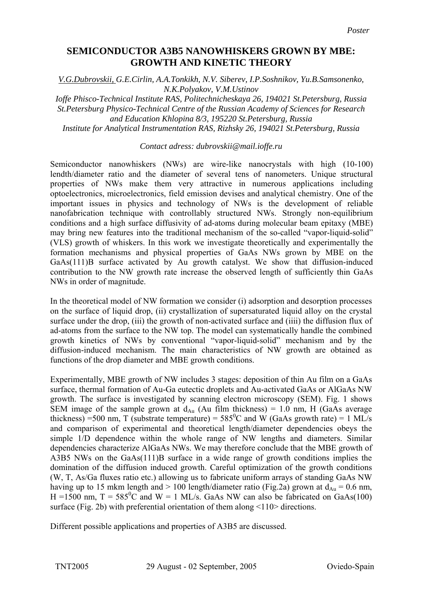## **SEMICONDUCTOR A3B5 NANOWHISKERS GROWN BY MBE: GROWTH AND KINETIC THEORY**

*V.G.Dubrovskii, G.E.Cirlin, A.A.Tonkikh, N.V. Siberev, I.P.Soshnikov, Yu.B.Samsonenko, N.K.Polyakov, V.M.Ustinov* 

*Ioffe Phisco-Technical Institute RAS, Politechnicheskaya 26, 194021 St.Petersburg, Russia St.Petersburg Physico-Technical Centre of the Russian Academy of Sciences for Research and Education Khlopina 8/3, 195220 St.Petersburg, Russia Institute for Analytical Instrumentation RAS, Rizhsky 26, 194021 St.Petersburg, Russia* 

## *Contact adress: dubrovskii@mail.ioffe.ru*

Semiconductor nanowhiskers (NWs) are wire-like nanocrystals with high (10-100) lendth/diameter ratio and the diameter of several tens of nanometers. Unique structural properties of NWs make them very attractive in numerous applications including optoelectronics, microelectronics, field emission devises and analytical chemistry. One of the important issues in physics and technology of NWs is the development of reliable nanofabrication technique with controllably structured NWs. Strongly non-equilibrium conditions and a high surface diffusivity of ad-atoms during molecular beam epitaxy (MBE) may bring new features into the traditional mechanism of the so-called "vapor-liquid-solid" (VLS) growth of whiskers. In this work we investigate theoretically and experimentally the formation mechanisms and physical properties of GaAs NWs grown by MBE on the GaAs(111)B surface activated by Au growth catalyst. We show that diffusion-induced contribution to the NW growth rate increase the observed length of sufficiently thin GaAs NWs in order of magnitude.

In the theoretical model of NW formation we consider (i) adsorption and desorption processes on the surface of liquid drop, (ii) crystallization of supersaturated liquid alloy on the crystal surface under the drop, (iii) the growth of non-activated surface and (iiii) the diffusion flux of ad-atoms from the surface to the NW top. The model can systematically handle the combined growth kinetics of NWs by conventional "vapor-liquid-solid" mechanism and by the diffusion-induced mechanism. The main characteristics of NW growth are obtained as functions of the drop diameter and MBE growth conditions.

Experimentally, MBE growth of NW includes 3 stages: deposition of thin Au film on a GaAs surface, thermal formation of Au-Ga eutectic droplets and Au-activated GaAs or AlGaAs NW growth. The surface is investigated by scanning electron microscopy (SEM). Fig. 1 shows SEM image of the sample grown at  $d_{Au}$  (Au film thickness) = 1.0 nm, H (GaAs average thickness) =500 nm, T (substrate temperature) =  $585^{\circ}$ C and W (GaAs growth rate) = 1 ML/s and comparison of experimental and theoretical length/diameter dependencies obeys the simple 1/D dependence within the whole range of NW lengths and diameters. Similar dependencies characterize AlGaAs NWs. We may therefore conclude that the MBE growth of A3B5 NWs on the GaAs(111)B surface in a wide range of growth conditions implies the domination of the diffusion induced growth. Careful optimization of the growth conditions (W, T, As/Ga fluxes ratio etc.) allowing us to fabricate uniform arrays of standing GaAs NW having up to 15 mkm length and  $> 100$  length/diameter ratio (Fig.2a) grown at  $d_{Au} = 0.6$  nm, H =1500 nm,  $T = 585^{\circ}$ C and W = 1 ML/s. GaAs NW can also be fabricated on GaAs(100) surface (Fig. 2b) with preferential orientation of them along  $\leq$ 110 $>$  directions.

Different possible applications and properties of A3B5 are discussed.